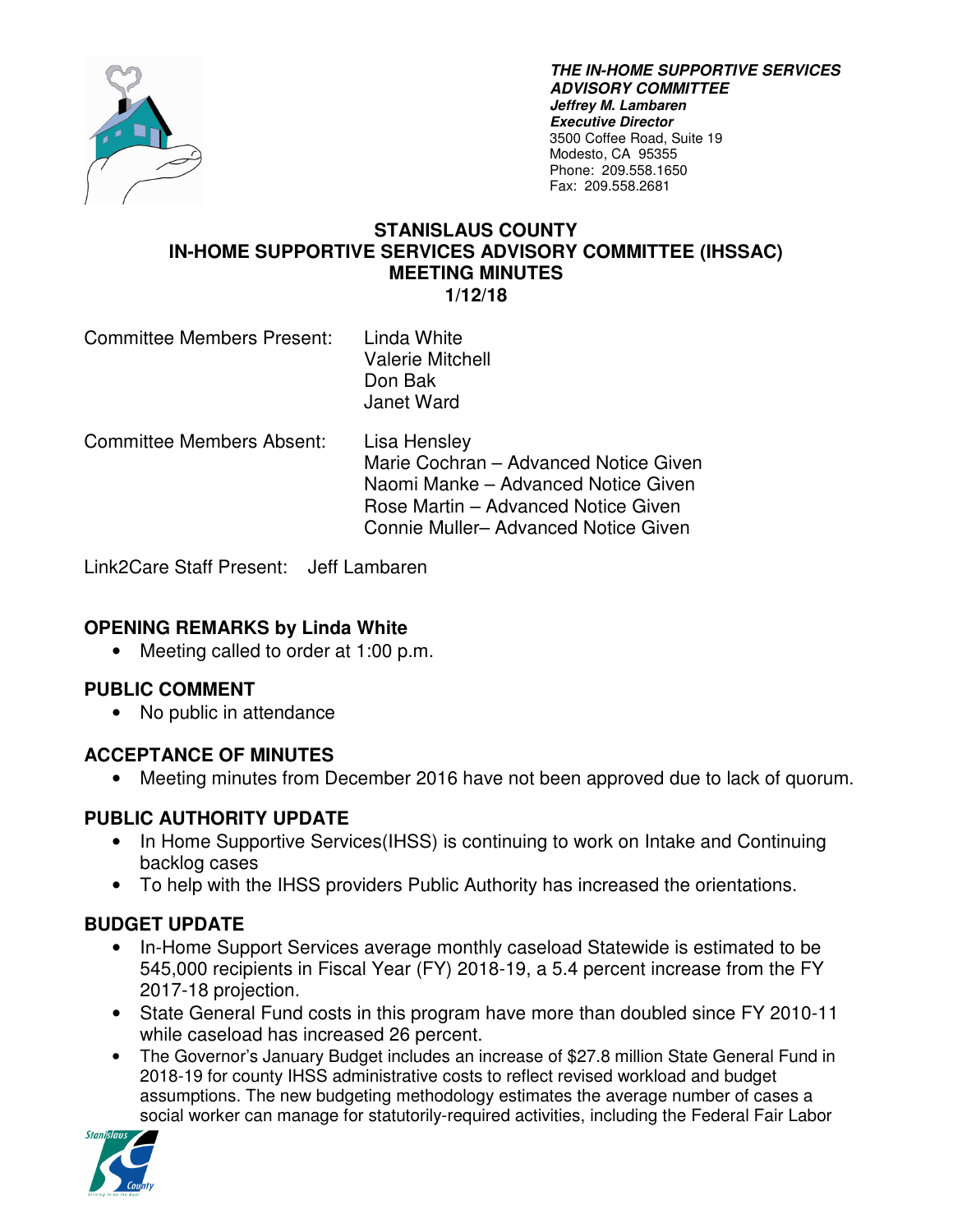

**THE IN-HOME SUPPORTIVE SERVICES ADVISORY COMMITTEE Jeffrey M. Lambaren Executive Director**  3500 Coffee Road, Suite 19 Modesto, CA 95355 Phone: 209.558.1650 Fax: 209.558.2681

#### **STANISLAUS COUNTY IN-HOME SUPPORTIVE SERVICES ADVISORY COMMITTEE (IHSSAC) MEETING MINUTES 1/12/18**

| <b>Committee Members Present:</b> | Linda White             |
|-----------------------------------|-------------------------|
|                                   | <b>Valerie Mitchell</b> |
|                                   | Don Bak                 |
|                                   | Janet Ward              |

Committee Members Absent: Lisa Hensley Marie Cochran – Advanced Notice Given Naomi Manke – Advanced Notice Given Rose Martin – Advanced Notice Given Connie Muller– Advanced Notice Given

Link2Care Staff Present: Jeff Lambaren

### **OPENING REMARKS by Linda White**

• Meeting called to order at 1:00 p.m.

### **PUBLIC COMMENT**

• No public in attendance

### **ACCEPTANCE OF MINUTES**

• Meeting minutes from December 2016 have not been approved due to lack of quorum.

### **PUBLIC AUTHORITY UPDATE**

- In Home Supportive Services (IHSS) is continuing to work on Intake and Continuing backlog cases
- To help with the IHSS providers Public Authority has increased the orientations.

# **BUDGET UPDATE**

- In-Home Support Services average monthly caseload Statewide is estimated to be 545,000 recipients in Fiscal Year (FY) 2018-19, a 5.4 percent increase from the FY 2017-18 projection.
- State General Fund costs in this program have more than doubled since FY 2010-11 while caseload has increased 26 percent.
- The Governor's January Budget includes an increase of \$27.8 million State General Fund in 2018-19 for county IHSS administrative costs to reflect revised workload and budget assumptions. The new budgeting methodology estimates the average number of cases a social worker can manage for statutorily-required activities, including the Federal Fair Labor